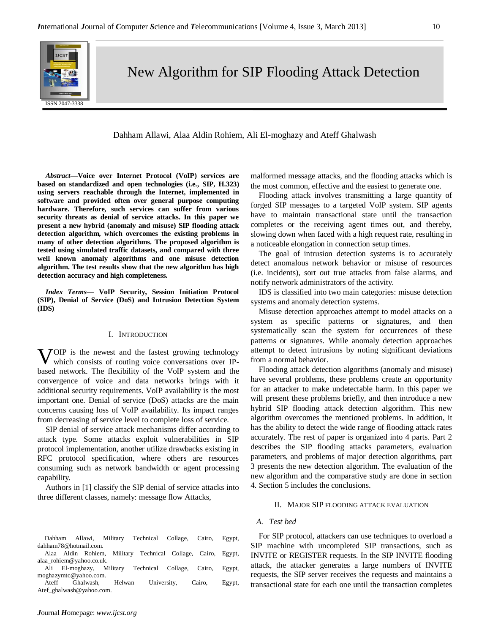

# New Algorithm for SIP Flooding Attack Detection

# Dahham Allawi, Alaa Aldin Rohiem, Ali El-moghazy and Ateff Ghalwash

*Abstract***—Voice over Internet Protocol (VoIP) services are based on standardized and open technologies (i.e., SIP, H.323) using servers reachable through the Internet, implemented in software and provided often over general purpose computing hardware. Therefore, such services can suffer from various security threats as denial of service attacks. In this paper we present a new hybrid (anomaly and misuse) SIP flooding attack detection algorithm, which overcomes the existing problems in many of other detection algorithms. The proposed algorithm is tested using simulated traffic datasets, and compared with three well known anomaly algorithms and one misuse detection algorithm. The test results show that the new algorithm has high detection accuracy and high completeness.**

*Index Terms***— VoIP Security, Session Initiation Protocol (SIP), Denial of Service (DoS) and Intrusion Detection System (IDS)**

#### I. INTRODUCTION

**V**OIP is the newest and the fastest growing technology which consists of routing voice conversations over IPwhich consists of routing voice conversations over IPbased network. The flexibility of the VoIP system and the convergence of voice and data networks brings with it additional security requirements. VoIP availability is the most important one. Denial of service (DoS) attacks are the main concerns causing loss of VoIP availability. Its impact ranges from decreasing of service level to complete loss of service.

SIP denial of service attack mechanisms differ according to attack type. Some attacks exploit vulnerabilities in SIP protocol implementation, another utilize drawbacks existing in RFC protocol specification, where others are resources consuming such as network bandwidth or agent processing capability.

Authors in [1] classify the SIP denial of service attacks into three different classes, namely: message flow Attacks,

malformed message attacks, and the flooding attacks which is the most common, effective and the easiest to generate one.

Flooding attack involves transmitting a large quantity of forged SIP messages to a targeted VoIP system. SIP agents have to maintain transactional state until the transaction completes or the receiving agent times out, and thereby, slowing down when faced with a high request rate, resulting in a noticeable elongation in connection setup times.

The goal of intrusion detection systems is to accurately detect anomalous network behavior or misuse of resources (i.e. incidents), sort out true attacks from false alarms, and notify network administrators of the activity.

IDS is classified into two main categories: misuse detection systems and anomaly detection systems.

Misuse detection approaches attempt to model attacks on a system as specific patterns or signatures, and then systematically scan the system for occurrences of these patterns or signatures. While anomaly detection approaches attempt to detect intrusions by noting significant deviations from a normal behavior.

Flooding attack detection algorithms (anomaly and misuse) have several problems, these problems create an opportunity for an attacker to make undetectable harm. In this paper we will present these problems briefly, and then introduce a new hybrid SIP flooding attack detection algorithm. This new algorithm overcomes the mentioned problems. In addition, it has the ability to detect the wide range of flooding attack rates accurately. The rest of paper is organized into 4 parts. Part 2 describes the SIP flooding attacks parameters, evaluation parameters, and problems of major detection algorithms, part 3 presents the new detection algorithm. The evaluation of the new algorithm and the comparative study are done in section 4. Section 5 includes the conclusions.

## II. MAJOR SIP FLOODING ATTACK EVALUATION

# *A. Test bed*

Dahham Allawi, Military Technical Collage, Cairo, Egypt, [dahham78@hotmail.com.](mailto:dahham78@hotmail.com)

Alaa Aldin Rohiem, Military Technical Collage, Cairo, Egypt, [alaa\\_rohiem@yahoo.co.uk.](mailto:alaa_rohiem@yahoo.co.uk)

Ali El-moghazy, Military Technical Collage, Cairo, Egypt, [moghazymtc@yahoo.com.](mailto:moghazymtc@yahoo.com)

Ateff Ghalwash, Helwan University, Cairo, Egypt, Atef\_ghalwash@yahoo.com.

For SIP protocol, attackers can use techniques to overload a SIP machine with uncompleted SIP transactions, such as INVITE or REGISTER requests. In the SIP INVITE flooding attack, the attacker generates a large numbers of INVITE requests, the SIP server receives the requests and maintains a transactional state for each one until the transaction completes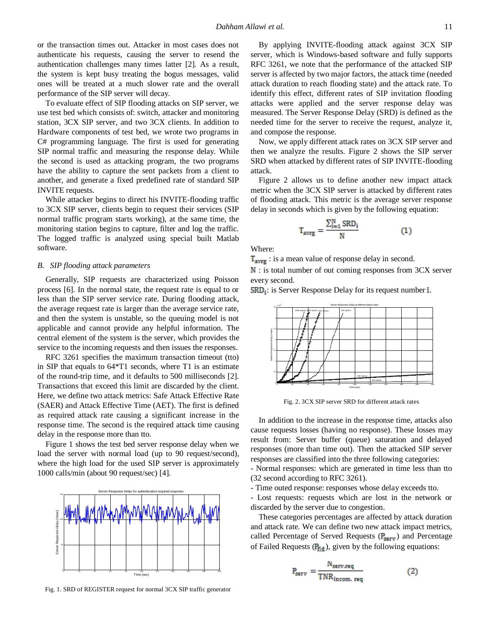or the transaction times out. Attacker in most cases does not authenticate his requests, causing the server to resend the authentication challenges many times latter [2]. As a result, the system is kept busy treating the bogus messages, valid ones will be treated at a much slower rate and the overall performance of the SIP server will decay.

To evaluate effect of SIP flooding attacks on SIP server, we use test bed which consists of: switch, attacker and monitoring station, 3CX SIP server, and two 3CX clients. In addition to Hardware components of test bed, we wrote two programs in C# programming language. The first is used for generating SIP normal traffic and measuring the response delay. While the second is used as attacking program, the two programs have the ability to capture the sent packets from a client to another, and generate a fixed predefined rate of standard SIP INVITE requests.

While attacker begins to direct his INVITE-flooding traffic to 3CX SIP server, clients begin to request their services (SIP normal traffic program starts working), at the same time, the monitoring station begins to capture, filter and log the traffic. The logged traffic is analyzed using special built Matlab software.

# *B. SIP flooding attack parameters*

Generally, SIP requests are characterized using Poisson process [6]. In the normal state, the request rate is equal to or less than the SIP server service rate. During flooding attack, the average request rate is larger than the average service rate, and then the system is unstable, so the queuing model is not applicable and cannot provide any helpful information. The central element of the system is the server, which provides the service to the incoming requests and then issues the responses.

RFC 3261 specifies the maximum transaction timeout (tto) in SIP that equals to 64\*T1 seconds, where T1 is an estimate of the round-trip time, and it defaults to 500 milliseconds [2]. Transactions that exceed this limit are discarded by the client. Here, we define two attack metrics: Safe Attack Effective Rate (SAER) and Attack Effective Time (AET). The first is defined as required attack rate causing a significant increase in the response time. The second is the required attack time causing delay in the response more than tto.

Figure 1 shows the test bed server response delay when we load the server with normal load (up to 90 request/second), where the high load for the used SIP server is approximately 1000 calls/min (about 90 request/sec) [4].



Fig. 1. SRD of REGISTER request for normal 3CX SIP traffic generator

By applying INVITE-flooding attack against 3CX SIP server, which is Windows-based software and fully supports RFC 3261, we note that the performance of the attacked SIP server is affected by two major factors, the attack time (needed attack duration to reach flooding state) and the attack rate. To identify this effect, different rates of SIP invitation flooding attacks were applied and the server response delay was measured. The Server Response Delay (SRD) is defined as the needed time for the server to receive the request, analyze it, and compose the response.

Now, we apply different attack rates on 3CX SIP server and then we analyze the results. Figure 2 shows the SIP server SRD when attacked by different rates of SIP INVITE-flooding attack.

Figure 2 allows us to define another new impact attack metric when the 3CX SIP server is attacked by different rates of flooding attack. This metric is the average server response delay in seconds which is given by the following equation:

$$
\Gamma_{\text{avrg}} = \frac{\sum_{i=1}^{N} \text{SRD}_i}{N} \tag{1}
$$

Where:

 $T_{\text{avrg}}$  : is a mean value of response delay in second.

N: is total number of out coming responses from 3CX server every second.

 $SRD_i$ : is Server Response Delay for its request number i.



Fig. 2. 3CX SIP server SRD for different attack rates

In addition to the increase in the response time, attacks also cause requests losses (having no response). These losses may result from: Server buffer (queue) saturation and delayed responses (more than time out). Then the attacked SIP server responses are classified into the three following categories:

- Normal responses: which are generated in time less than tto (32 second according to RFC 3261).

- Time outed response: responses whose delay exceeds tto.

- Lost requests: requests which are lost in the network or discarded by the server due to congestion.

These categories percentages are affected by attack duration and attack rate. We can define two new attack impact metrics, called Percentage of Served Requests ( $P_{\text{serv}}$ ) and Percentage of Failed Requests  $(P_{\text{fid}})$ , given by the following equations:

$$
P_{\text{serv}} = \frac{N_{\text{serv} \cdot \text{req}}}{\text{TNR}_{\text{incom. \text{req}}}}
$$
 (2)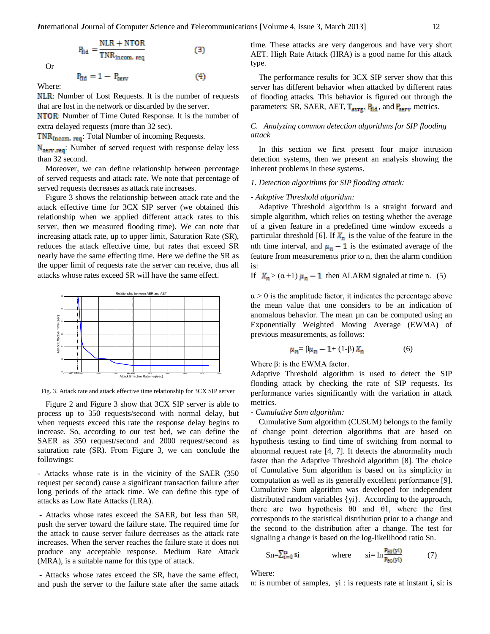$(4)$ 

$$
P_{\text{fid}} = \frac{\text{NLR} + \text{NTOR}}{\text{TNR}_{\text{incom. req}}}
$$
 (3)

Or

$$
P_{\text{fid}}\,=\,1\,-\,P_{\text{serv}}
$$

Where:

NLR: Number of Lost Requests. It is the number of requests that are lost in the network or discarded by the server.

**NTOR:** Number of Time Outed Response. It is the number of extra delayed requests (more than 32 sec).

TNR<sub>incom. req</sub>: Total Number of incoming Requests.

N<sub>serv</sub> req Number of served request with response delay less than 32 second.

Moreover, we can define relationship between percentage of served requests and attack rate. We note that percentage of served requests decreases as attack rate increases.

Figure 3 shows the relationship between attack rate and the attack effective time for 3CX SIP server (we obtained this relationship when we applied different attack rates to this server, then we measured flooding time). We can note that increasing attack rate, up to upper limit, Saturation Rate (SR), reduces the attack effective time, but rates that exceed SR nearly have the same effecting time. Here we define the SR as the upper limit of requests rate the server can receive, thus all attacks whose rates exceed SR will have the same effect.



Fig. 3. Attack rate and attack effective time relationship for 3CX SIP server

Figure 2 and Figure 3 show that 3CX SIP server is able to process up to 350 requests/second with normal delay, but when requests exceed this rate the response delay begins to increase. So, according to our test bed, we can define the SAER as 350 request/second and 2000 request/second as saturation rate (SR). From Figure 3, we can conclude the followings:

- Attacks whose rate is in the vicinity of the SAER (350 request per second) cause a significant transaction failure after long periods of the attack time. We can define this type of attacks as Low Rate Attacks (LRA).

- Attacks whose rates exceed the SAER, but less than SR, push the server toward the failure state. The required time for the attack to cause server failure decreases as the attack rate increases. When the server reaches the failure state it does not produce any acceptable response. Medium Rate Attack (MRA), is a suitable name for this type of attack.

- Attacks whose rates exceed the SR, have the same effect, and push the server to the failure state after the same attack time. These attacks are very dangerous and have very short AET. High Rate Attack (HRA) is a good name for this attack type.

The performance results for 3CX SIP server show that this server has different behavior when attacked by different rates of flooding attacks. This behavior is figured out through the parameters: SR, SAER, AET,  $T_{\text{avrg}}$ ,  $P_{\text{fid}}$ , and  $P_{\text{serv}}$  metrics.

# *C. Analyzing common detection algorithms for SIP flooding attack*

In this section we first present four major intrusion detection systems, then we present an analysis showing the inherent problems in these systems.

# *1. Detection algorithms for SIP flooding attack:*

# *- Adaptive Threshold algorithm:*

Adaptive Threshold algorithm is a straight forward and simple algorithm, which relies on testing whether the average of a given feature in a predefined time window exceeds a particular threshold [6]. If  $X_n$  is the value of the feature in the nth time interval, and  $\mu_n - 1$  is the estimated average of the feature from measurements prior to n, then the alarm condition is:

If 
$$
X_n > (\alpha + 1) \mu_n - 1
$$
 then ALARM signaled at time n. (5)

 $\alpha$  > 0 is the amplitude factor, it indicates the percentage above the mean value that one considers to be an indication of anomalous behavior. The mean µn can be computed using an Exponentially Weighted Moving Average (EWMA) of previous measurements, as follows:

$$
\mu_n = \beta \mu_n - 1 + (1 - \beta) X_n \tag{6}
$$

Where  $\beta$ : is the EWMA factor.

Adaptive Threshold algorithm is used to detect the SIP flooding attack by checking the rate of SIP requests. Its performance varies significantly with the variation in attack metrics.

#### *- Cumulative Sum algorithm:*

Cumulative Sum algorithm (CUSUM) belongs to the family of change point detection algorithms that are based on hypothesis testing to find time of switching from normal to abnormal request rate [4, 7]. It detects the abnormality much faster than the Adaptive Threshold algorithm [8]. The choice of Cumulative Sum algorithm is based on its simplicity in computation as well as its generally excellent performance [9]. Cumulative Sum algorithm was developed for independent distributed random variables {yi}. According to the approach, there are two hypothesis  $\theta$  and  $\theta$ 1, where the first corresponds to the statistical distribution prior to a change and the second to the distribution after a change. The test for signaling a change is based on the log-likelihood ratio Sn.

$$
\text{Sn} = \sum_{i=0}^{n} \text{si} \qquad \text{where} \qquad \text{si} = \ln \frac{p_{\theta 1}(y_i)}{p_{\theta 0}(y_i)} \tag{7}
$$

Where:

n: is number of samples, yi : is requests rate at instant i, si: is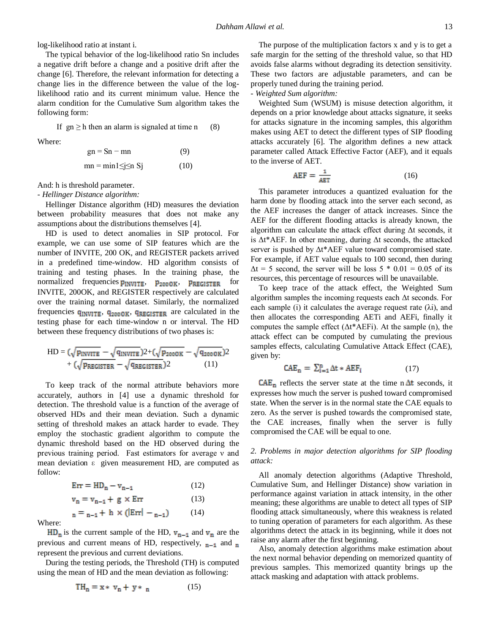log-likelihood ratio at instant i.

The typical behavior of the log-likelihood ratio Sn includes a negative drift before a change and a positive drift after the change [6]. Therefore, the relevant information for detecting a change lies in the difference between the value of the loglikelihood ratio and its current minimum value. Hence the alarm condition for the Cumulative Sum algorithm takes the following form:

If  $gn \geq h$  then an alarm is signaled at time n (8)

Where:

$$
gn = Sn - mn
$$
 (9)  
mn = min1 \le j \le n Sj (10)

And: h is threshold parameter.

*- Hellinger Distance algorithm:*

Hellinger Distance algorithm (HD) measures the deviation between probability measures that does not make any assumptions about the distributions themselves [4].

HD is used to detect anomalies in SIP protocol. For example, we can use some of SIP features which are the number of INVITE, 200 OK, and REGISTER packets arrived in a predefined time-window. HD algorithm consists of training and testing phases. In the training phase, the normalized frequencies  $p_{INVITE}$ ,  $p_{2000K}$ ,  $p_{REGISTER}$  for INVITE, 200OK, and REGISTER respectively are calculated over the training normal dataset. Similarly, the normalized frequencies  $q_{INVITE}$ ,  $q_{2000K}$ ,  $q_{REGISTER}$  are calculated in the testing phase for each time-window n or interval. The HD between these frequency distributions of two phases is:

$$
HD = (\sqrt{p_{INVITE}} - \sqrt{q_{INVITE}})2 + (\sqrt{p_{2000K}} - \sqrt{q_{2000K}})2
$$

$$
+ (\sqrt{p_{REGISTER}} - \sqrt{q_{REGISTER}})2
$$
(11)

To keep track of the normal attribute behaviors more accurately, authors in [4] use a dynamic threshold for detection. The threshold value is a function of the average of observed HDs and their mean deviation. Such a dynamic setting of threshold makes an attack harder to evade. They employ the stochastic gradient algorithm to compute the dynamic threshold based on the HD observed during the previous training period. Fast estimators for average ν and mean deviation ε given measurement HD, are computed as follow:

$$
Err = HD_n - v_{n-1}
$$
 (12)  
\n
$$
v_n = v_{n-1} + g \times Err
$$
 (13)  
\n
$$
n = n-1 + h \times (Err| - n-1)
$$
 (14)

Where:

 $HD_n$  is the current sample of the HD,  $v_{n-1}$  and  $v_n$  are the previous and current means of HD, respectively,  $n-1$  and n represent the previous and current deviations.

During the testing periods, the Threshold (TH) is computed using the mean of HD and the mean deviation as following:

$$
TH_n = x * v_n + y * n \tag{15}
$$

The purpose of the multiplication factors x and y is to get a safe margin for the setting of the threshold value, so that HD avoids false alarms without degrading its detection sensitivity. These two factors are adjustable parameters, and can be properly tuned during the training period.

*- Weighted Sum algorithm:*

Weighted Sum (WSUM) is misuse detection algorithm, it depends on a prior knowledge about attacks signature, it seeks for attacks signature in the incoming samples, this algorithm makes using AET to detect the different types of SIP flooding attacks accurately [6]. The algorithm defines a new attack parameter called Attack Effective Factor (AEF), and it equals to the inverse of AET.

$$
AEF = \frac{1}{AET} \tag{16}
$$

This parameter introduces a quantized evaluation for the harm done by flooding attack into the server each second, as the AEF increases the danger of attack increases. Since the AEF for the different flooding attacks is already known, the algorithm can calculate the attack effect during Δt seconds, it is  $\Delta t^*$ AEF. In other meaning, during  $\Delta t$  seconds, the attacked server is pushed by Δt\*AEF value toward compromised state. For example, if AET value equals to 100 second, then during  $\Delta t = 5$  second, the server will be loss  $5 * 0.01 = 0.05$  of its resources, this percentage of resources will be unavailable.

To keep trace of the attack effect, the Weighted Sum algorithm samples the incoming requests each Δt seconds. For each sample (i) it calculates the average request rate  $(\lambda i)$ , and then allocates the corresponding AETi and AEFi, finally it computes the sample effect  $(\Delta t^* A E F)$ . At the sample (n), the attack effect can be computed by cumulating the previous samples effects, calculating Cumulative Attack Effect (CAE), given by:

$$
CAE_n = \sum_{i=1}^n \Delta t * AEF_i \tag{17}
$$

 $CAE_n$  reflects the server state at the time n  $\Delta t$  seconds, it expresses how much the server is pushed toward compromised state. When the server is in the normal state the CAE equals to zero. As the server is pushed towards the compromised state, the CAE increases, finally when the server is fully compromised the CAE will be equal to one.

# *2. Problems in major detection algorithms for SIP flooding attack:*

All anomaly detection algorithms (Adaptive Threshold, Cumulative Sum, and Hellinger Distance) show variation in performance against variation in attack intensity, in the other meaning; these algorithms are unable to detect all types of SIP flooding attack simultaneously, where this weakness is related to tuning operation of parameters for each algorithm. As these algorithms detect the attack in its beginning, while it does not raise any alarm after the first beginning.

Also, anomaly detection algorithms make estimation about the next normal behavior depending on memorized quantity of previous samples. This memorized quantity brings up the attack masking and adaptation with attack problems.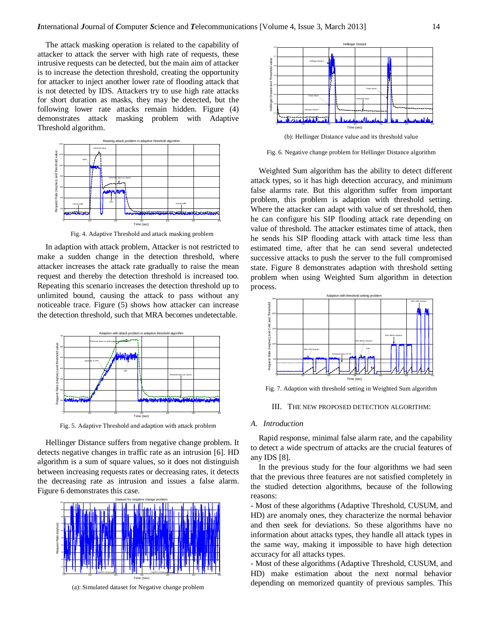The attack masking operation is related to the capability of attacker to attack the server with high rate of requests, these intrusive requests can be detected, but the main aim of attacker is to increase the detection threshold, creating the opportunity for attacker to inject another lower rate of flooding attack that is not detected by IDS. Attackers try to use high rate attacks for short duration as masks, they may be detected, but the following lower rate attacks remain hidden. Figure (4) demonstrates attack masking problem with Adaptive Threshold algorithm.



Fig. 4. Adaptive Threshold and attack masking problem

In adaption with attack problem, Attacker is not restricted to make a sudden change in the detection threshold, where attacker increases the attack rate gradually to raise the mean request and thereby the detection threshold is increased too. Repeating this scenario increases the detection threshold up to unlimited bound, causing the attack to pass without any noticeable trace. Figure (5) shows how attacker can increase the detection threshold, such that MRA becomes undetectable.



Fig. 5. Adaptive Threshold and adaption with attack problem

Hellinger Distance suffers from negative change problem. It detects negative changes in traffic rate as an intrusion [6]. HD algorithm is a sum of square values, so it does not distinguish between increasing requests rates or decreasing rates, it detects the decreasing rate as intrusion and issues a false alarm. Figure 6 demonstrates this case.



(a): Simulated dataset for Negative change problem



(b): Hellinger Distance value and its threshold value

Fig. 6. Negative change problem for Hellinger Distance algorithm

Weighted Sum algorithm has the ability to detect different attack types, so it has high detection accuracy, and minimum false alarms rate. But this algorithm suffer from important problem, this problem is adaption with threshold setting. Where the attacker can adapt with value of set threshold, then he can configure his SIP flooding attack rate depending on value of threshold. The attacker estimates time of attack, then he sends his SIP flooding attack with attack time less than estimated time, after that he can send several undetected successive attacks to push the server to the full compromised state. Figure 8 demonstrates adaption with threshold setting problem when using Weighted Sum algorithm in detection process.



Fig. 7. Adaption with threshold setting in Weighted Sum algorithm

#### III. THE NEW PROPOSED DETECTION ALGORITHM:

## *A. Introduction*

Rapid response, minimal false alarm rate, and the capability to detect a wide spectrum of attacks are the crucial features of any IDS [8].

In the previous study for the four algorithms we had seen that the previous three features are not satisfied completely in the studied detection algorithms, because of the following reasons:

- Most of these algorithms (Adaptive Threshold, CUSUM, and HD) are anomaly ones, they characterize the normal behavior and then seek for deviations. So these algorithms have no information about attacks types, they handle all attack types in the same way, making it impossible to have high detection accuracy for all attacks types.

- Most of these algorithms (Adaptive Threshold, CUSUM, and HD) make estimation about the next normal behavior depending on memorized quantity of previous samples. This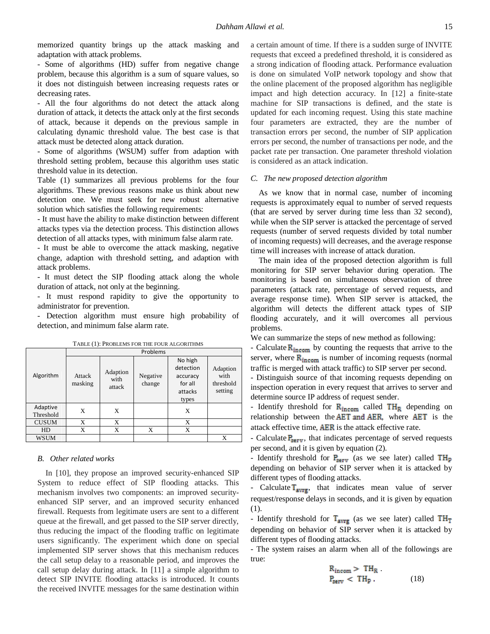memorized quantity brings up the attack masking and adaptation with attack problems.

- Some of algorithms (HD) suffer from negative change problem, because this algorithm is a sum of square values, so it does not distinguish between increasing requests rates or decreasing rates.

- All the four algorithms do not detect the attack along duration of attack, it detects the attack only at the first seconds of attack, because it depends on the previous sample in calculating dynamic threshold value. The best case is that attack must be detected along attack duration.

- Some of algorithms (WSUM) suffer from adaption with threshold setting problem, because this algorithm uses static threshold value in its detection.

Table (1) summarizes all previous problems for the four algorithms. These previous reasons make us think about new detection one. We must seek for new robust alternative solution which satisfies the following requirements:

- It must have the ability to make distinction between different attacks types via the detection process. This distinction allows detection of all attacks types, with minimum false alarm rate.

- It must be able to overcome the attack masking, negative change, adaption with threshold setting, and adaption with attack problems.

- It must detect the SIP flooding attack along the whole duration of attack, not only at the beginning.

- It must respond rapidity to give the opportunity to administrator for prevention.

- Detection algorithm must ensure high probability of detection, and minimum false alarm rate.

|                       | Problems          |                            |                    |                                                                 |                                          |  |  |
|-----------------------|-------------------|----------------------------|--------------------|-----------------------------------------------------------------|------------------------------------------|--|--|
| Algorithm             | Attack<br>masking | Adaption<br>with<br>attack | Negative<br>change | No high<br>detection<br>accuracy<br>for all<br>attacks<br>types | Adaption<br>with<br>threshold<br>setting |  |  |
| Adaptive<br>Threshold | X                 | X                          |                    | X                                                               |                                          |  |  |
| <b>CUSUM</b>          | X                 | X                          |                    | X                                                               |                                          |  |  |
| HD                    | X                 | X                          | X                  | X                                                               |                                          |  |  |
| WSUM                  |                   |                            |                    |                                                                 | X                                        |  |  |

TABLE (1): PROBLEMS FOR THE FOUR ALGORITHMS

## *B. Other related works*

In [10], they propose an improved security-enhanced SIP System to reduce effect of SIP flooding attacks. This mechanism involves two components: an improved securityenhanced SIP server, and an improved security enhanced firewall. Requests from legitimate users are sent to a different queue at the firewall, and get passed to the SIP server directly, thus reducing the impact of the flooding traffic on legitimate users significantly. The experiment which done on special implemented SIP server shows that this mechanism reduces the call setup delay to a reasonable period, and improves the call setup delay during attack. In [11] a simple algorithm to detect SIP INVITE flooding attacks is introduced. It counts the received INVITE messages for the same destination within

a certain amount of time. If there is a sudden surge of INVITE requests that exceed a predefined threshold, it is considered as a strong indication of flooding attack. Performance evaluation is done on simulated VoIP network topology and show that the online placement of the proposed algorithm has negligible impact and high detection accuracy. In [12] a finite-state machine for SIP transactions is defined, and the state is updated for each incoming request. Using this state machine four parameters are extracted, they are the number of transaction errors per second, the number of SIP application errors per second, the number of transactions per node, and the packet rate per transaction. One parameter threshold violation is considered as an attack indication.

#### *C. The new proposed detection algorithm*

As we know that in normal case, number of incoming requests is approximately equal to number of served requests (that are served by server during time less than 32 second), while when the SIP server is attacked the percentage of served requests (number of served requests divided by total number of incoming requests) will decreases, and the average response time will increases with increase of attack duration.

The main idea of the proposed detection algorithm is full monitoring for SIP server behavior during operation. The monitoring is based on simultaneous observation of three parameters (attack rate, percentage of served requests, and average response time). When SIP server is attacked, the algorithm will detects the different attack types of SIP flooding accurately, and it will overcomes all pervious problems.

We can summarize the steps of new method as following:

- Calculate  $R_{\text{incom}}$  by counting the requests that arrive to the server, where  $R_{\text{incom}}$  is number of incoming requests (normal traffic is merged with attack traffic) to SIP server per second.

- Distinguish source of that incoming requests depending on inspection operation in every request that arrives to server and determine source IP address of request sender.

- Identify threshold for  $R_{\text{incom}}$  called  $TH_R$  depending on relationship between the  $AET$  and  $AER$ , where  $AET$  is the attack effective time,  $AER$  is the attack effective rate.

- Calculate  $P_{\text{serv}}$ , that indicates percentage of served requests per second, and it is given by equation (2).

- Identify threshold for  $P_{\text{serv}}$  (as we see later) called  $TH_{\text{p}}$ depending on behavior of SIP server when it is attacked by different types of flooding attacks.

- Calculate  $T_{\text{avrg}}$ , that indicates mean value of server request/response delays in seconds, and it is given by equation (1).

- Identify threshold for  $T_{\text{avrg}}$  (as we see later) called  $TH_T$ depending on behavior of SIP server when it is attacked by different types of flooding attacks.

- The system raises an alarm when all of the followings are true:

$$
R_{\text{incom}} > TH_R
$$
\n
$$
P_{\text{serv}} < TH_P \tag{18}
$$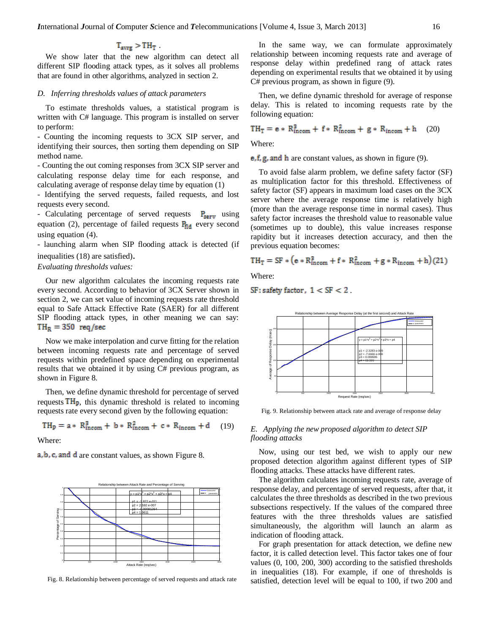$$
T_{\text{avrg}} > TH_T.
$$

We show later that the new algorithm can detect all different SIP flooding attack types, as it solves all problems that are found in other algorithms, analyzed in section 2.

# *D. Inferring thresholds values of attack parameters*

To estimate thresholds values, a statistical program is written with C# language. This program is installed on server to perform:

- Counting the incoming requests to 3CX SIP server, and identifying their sources, then sorting them depending on SIP method name.

- Counting the out coming responses from 3CX SIP server and calculating response delay time for each response, and calculating average of response delay time by equation (1)

- Identifying the served requests, failed requests, and lost requests every second.

- Calculating percentage of served requests  $P_{\text{serv}}$  using equation (2), percentage of failed requests  $P_{\text{fid}}$  every second using equation (4).

- launching alarm when SIP flooding attack is detected (if inequalities (18) are satisfied).

## *Evaluating thresholds values:*

Our new algorithm calculates the incoming requests rate every second. According to behavior of 3CX Server shown in section 2, we can set value of incoming requests rate threshold equal to Safe Attack Effective Rate (SAER) for all different SIP flooding attack types, in other meaning we can say:  $TH_R = 350$  req/sec

Now we make interpolation and curve fitting for the relation between incoming requests rate and percentage of served requests within predefined space depending on experimental results that we obtained it by using C# previous program, as shown in Figure 8.

Then, we define dynamic threshold for percentage of served requests  $TH<sub>p</sub>$ , this dynamic threshold is related to incoming requests rate every second given by the following equation:

$$
TH_p = a * R_{\text{incom}}^3 + b * R_{\text{incom}}^2 + c * R_{\text{incom}} + d \quad (19)
$$

Where:

a, b, c, and d are constant values, as shown Figure 8.



Fig. 8. Relationship between percentage of served requests and attack rate

In the same way, we can formulate approximately relationship between incoming requests rate and average of response delay within predefined rang of attack rates depending on experimental results that we obtained it by using C# previous program, as shown in figure (9).

Then, we define dynamic threshold for average of response delay. This is related to incoming requests rate by the following equation:

$$
TH_T = e * R_{\text{incom}}^3 + f * R_{\text{incom}}^2 + g * R_{\text{incom}} + h \quad (20)
$$

Where:

 $e, f, g$ , and h are constant values, as shown in figure (9).

To avoid false alarm problem, we define safety factor (SF) as multiplication factor for this threshold. Effectiveness of safety factor (SF) appears in maximum load cases on the 3CX server where the average response time is relatively high (more than the average response time in normal cases). Thus safety factor increases the threshold value to reasonable value (sometimes up to double), this value increases response rapidity but it increases detection accuracy, and then the previous equation becomes:

$$
TH_T = SF * (e * R_{\text{incom}}^3 + f * R_{\text{incom}}^2 + g * R_{\text{incom}} + h)(21)
$$

Where:

 $SF:$  safety factor,  $1 < SF < 2$ .



Fig. 9. Relationship between attack rate and average of response delay

# *E. Applying the new proposed algorithm to detect SIP flooding attacks*

Now, using our test bed, we wish to apply our new proposed detection algorithm against different types of SIP flooding attacks. These attacks have different rates.

The algorithm calculates incoming requests rate, average of response delay, and percentage of served requests, after that, it calculates the three thresholds as described in the two previous subsections respectively. If the values of the compared three features with the three thresholds values are satisfied simultaneously, the algorithm will launch an alarm as indication of flooding attack.

For graph presentation for attack detection, we define new factor, it is called detection level. This factor takes one of four values (0, 100, 200, 300) according to the satisfied thresholds in inequalities (18). For example, if one of thresholds is satisfied, detection level will be equal to 100, if two 200 and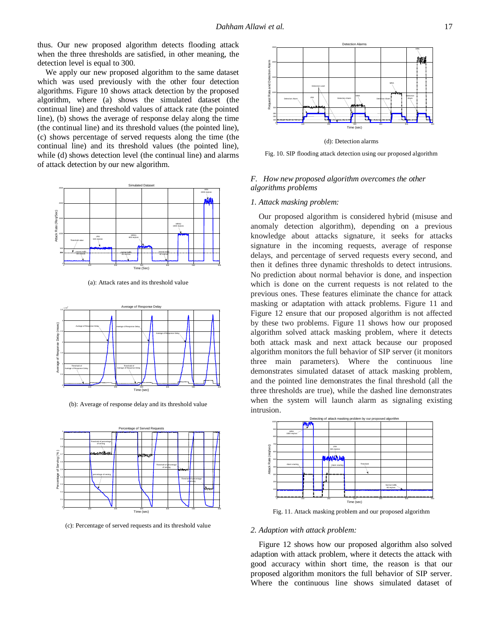thus. Our new proposed algorithm detects flooding attack when the three thresholds are satisfied, in other meaning, the detection level is equal to 300.

We apply our new proposed algorithm to the same dataset which was used previously with the other four detection algorithms. Figure 10 shows attack detection by the proposed algorithm, where (a) shows the simulated dataset (the continual line) and threshold values of attack rate (the pointed line), (b) shows the average of response delay along the time (the continual line) and its threshold values (the pointed line), (c) shows percentage of served requests along the time (the continual line) and its threshold values (the pointed line), while (d) shows detection level (the continual line) and alarms of attack detection by our new algorithm.



(a): Attack rates and its threshold value



(b): Average of response delay and its threshold value



(c): Percentage of served requests and its threshold value



(d): Detection alarms

Fig. 10. SIP flooding attack detection using our proposed algorithm

# *F. How new proposed algorithm overcomes the other algorithms problems*

## *1. Attack masking problem:*

Our proposed algorithm is considered hybrid (misuse and anomaly detection algorithm), depending on a previous knowledge about attacks signature, it seeks for attacks signature in the incoming requests, average of response delays, and percentage of served requests every second, and then it defines three dynamic thresholds to detect intrusions. No prediction about normal behavior is done, and inspection which is done on the current requests is not related to the previous ones. These features eliminate the chance for attack masking or adaptation with attack problems. Figure 11 and Figure 12 ensure that our proposed algorithm is not affected by these two problems. Figure 11 shows how our proposed algorithm solved attack masking problem, where it detects both attack mask and next attack because our proposed algorithm monitors the full behavior of SIP server (it monitors three main parameters). Where the continuous line demonstrates simulated dataset of attack masking problem, and the pointed line demonstrates the final threshold (all the three thresholds are true), while the dashed line demonstrates when the system will launch alarm as signaling existing intrusion.



Fig. 11. Attack masking problem and our proposed algorithm

#### *2. Adaption with attack problem:*

Figure 12 shows how our proposed algorithm also solved adaption with attack problem, where it detects the attack with good accuracy within short time, the reason is that our proposed algorithm monitors the full behavior of SIP server. Where the continuous line shows simulated dataset of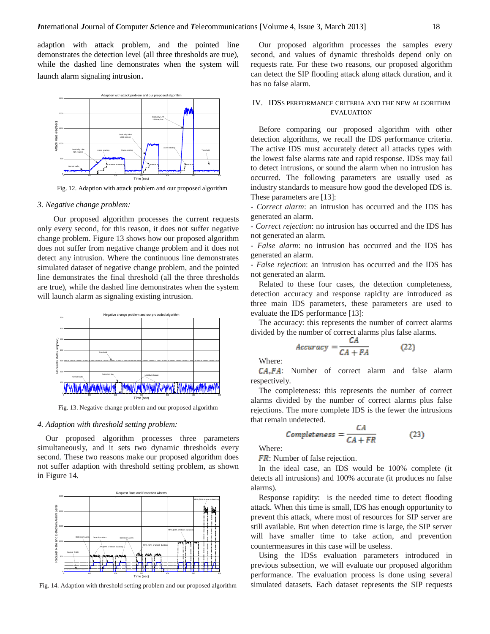adaption with attack problem, and the pointed line demonstrates the detection level (all three thresholds are true), while the dashed line demonstrates when the system will launch alarm signaling intrusion.



Fig. 12. Adaption with attack problem and our proposed algorithm

#### *3. Negative change problem:*

Our proposed algorithm processes the current requests only every second, for this reason, it does not suffer negative change problem. Figure 13 shows how our proposed algorithm does not suffer from negative change problem and it does not detect any intrusion. Where the continuous line demonstrates simulated dataset of negative change problem, and the pointed line demonstrates the final threshold (all the three thresholds are true), while the dashed line demonstrates when the system will launch alarm as signaling existing intrusion.



Fig. 13. Negative change problem and our proposed algorithm

#### *4. Adaption with threshold setting problem:*

Our proposed algorithm processes three parameters simultaneously, and it sets two dynamic thresholds every second. These two reasons make our proposed algorithm does not suffer adaption with threshold setting problem, as shown in Figure 14.



Fig. 14. Adaption with threshold setting problem and our proposed algorithm

Our proposed algorithm processes the samples every second, and values of dynamic thresholds depend only on requests rate. For these two reasons, our proposed algorithm can detect the SIP flooding attack along attack duration, and it has no false alarm.

# IV. IDSS PERFORMANCE CRITERIA AND THE NEW ALGORITHM EVALUATION

Before comparing our proposed algorithm with other detection algorithms, we recall the IDS performance criteria. The active IDS must accurately detect all attacks types with the lowest false alarms rate and rapid response. IDSs may fail to detect intrusions, or sound the alarm when no intrusion has occurred. The following parameters are usually used as industry standards to measure how good the developed IDS is. These parameters are [13]:

- *Correct alarm*: an intrusion has occurred and the IDS has generated an alarm.

- *Correct rejection*: no intrusion has occurred and the IDS has not generated an alarm.

- *False alarm*: no intrusion has occurred and the IDS has generated an alarm.

- *False rejection*: an intrusion has occurred and the IDS has not generated an alarm.

Related to these four cases, the detection completeness, detection accuracy and response rapidity are introduced as three main IDS parameters, these parameters are used to evaluate the IDS performance [13]:

The accuracy: this represents the number of correct alarms divided by the number of correct alarms plus false alarms.

$$
Accuracy = \frac{c_A}{CA + FA}
$$
 (22)

Where:

: Number of correct alarm and false alarm respectively.

The completeness: this represents the number of correct alarms divided by the number of correct alarms plus false rejections. The more complete IDS is the fewer the intrusions that remain undetected.

$$
Completeness = \frac{CA}{CA + FR}
$$
 (23)

Where:

**FR**: Number of false rejection.

In the ideal case, an IDS would be 100% complete (it detects all intrusions) and 100% accurate (it produces no false alarms).

Response rapidity: is the needed time to detect flooding attack. When this time is small, IDS has enough opportunity to prevent this attack, where most of resources for SIP server are still available. But when detection time is large, the SIP server will have smaller time to take action, and prevention countermeasures in this case will be useless.

Using the IDSs evaluation parameters introduced in previous subsection, we will evaluate our proposed algorithm performance. The evaluation process is done using several simulated datasets. Each dataset represents the SIP requests